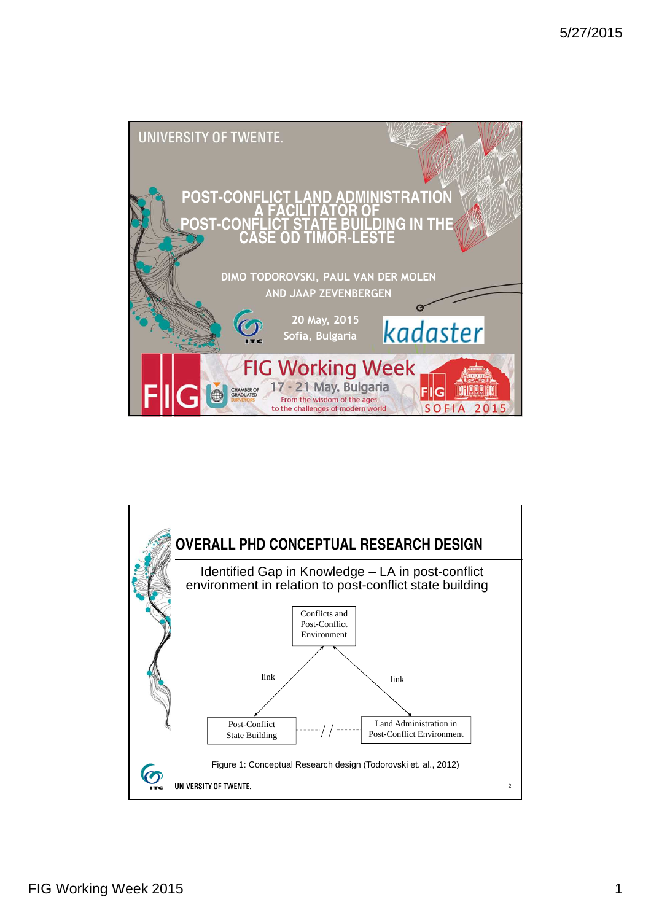

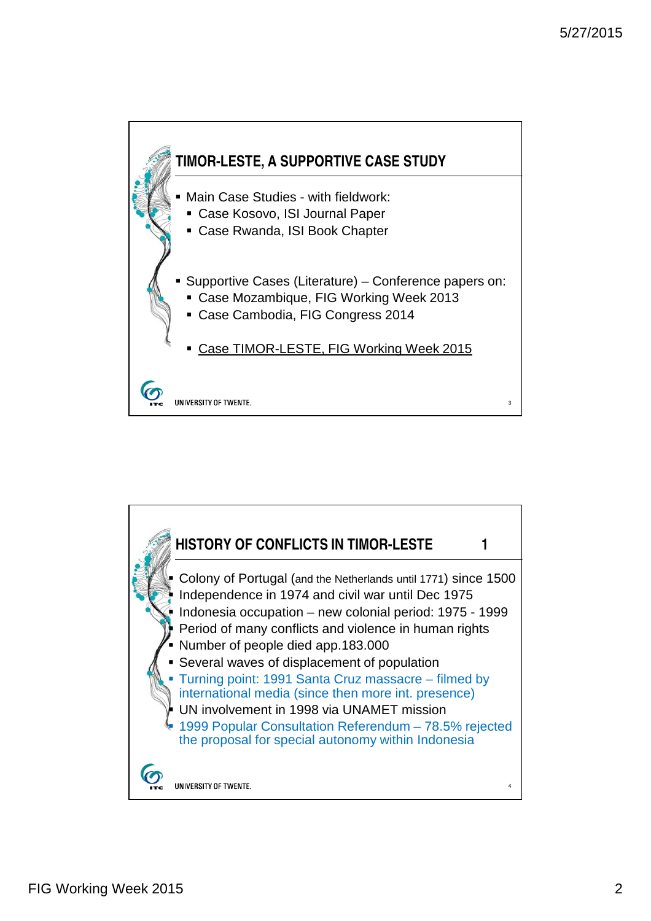

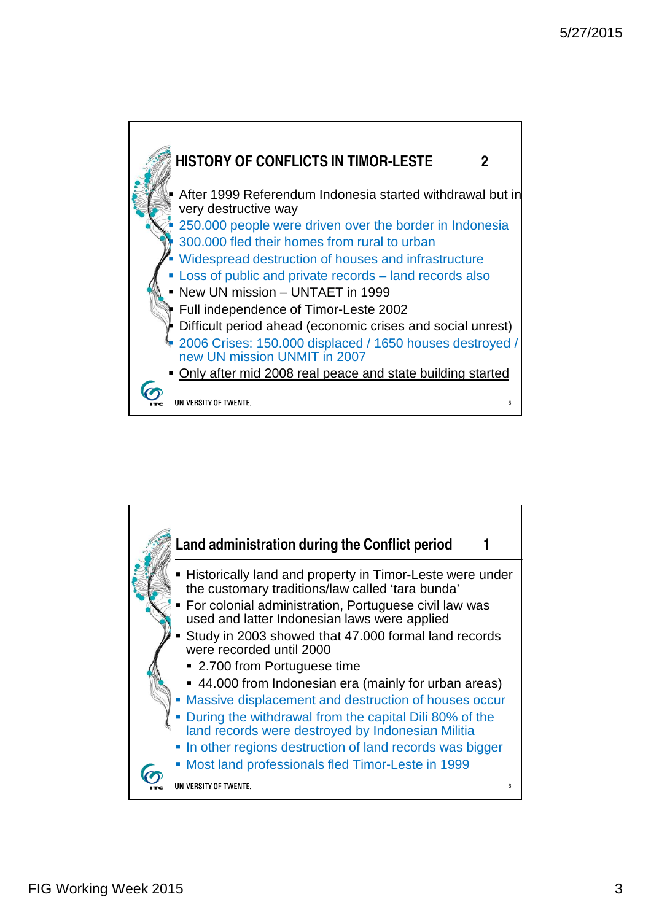

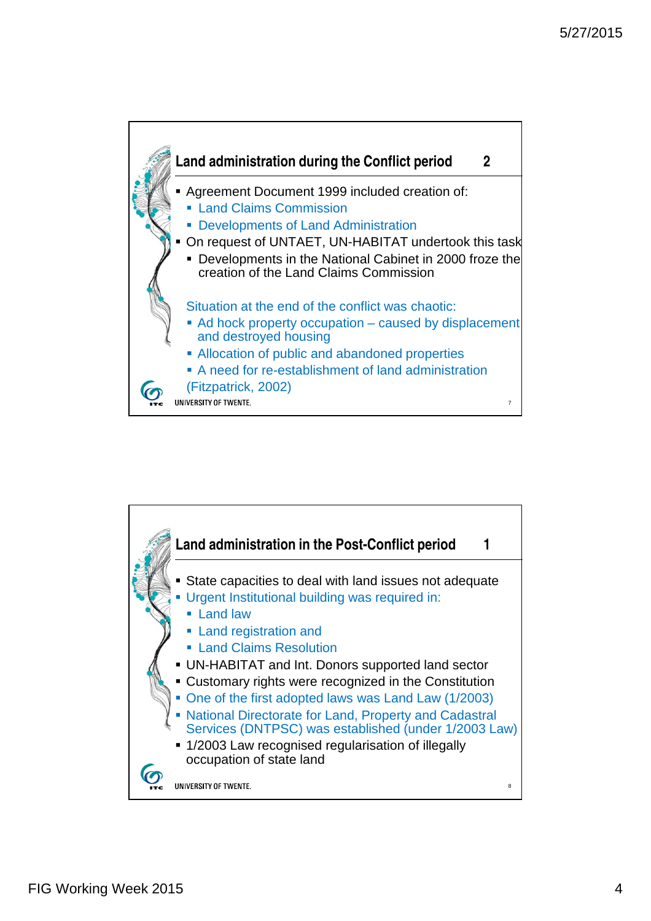

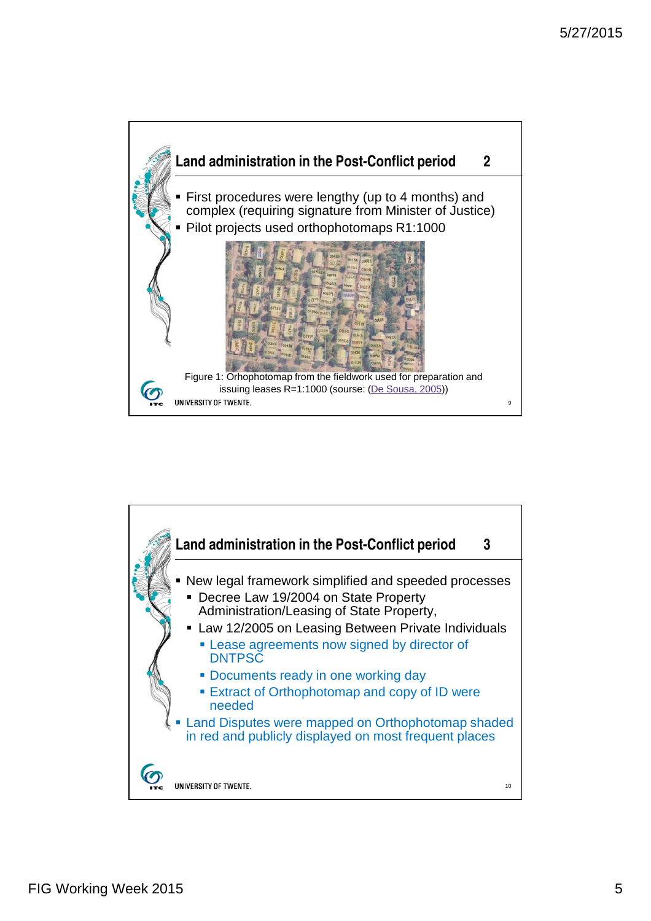

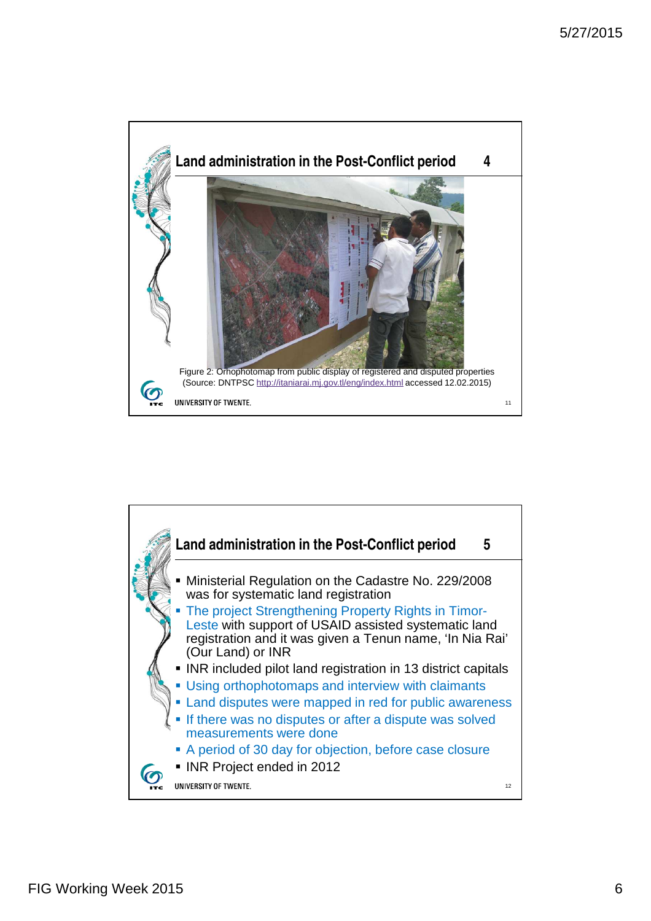

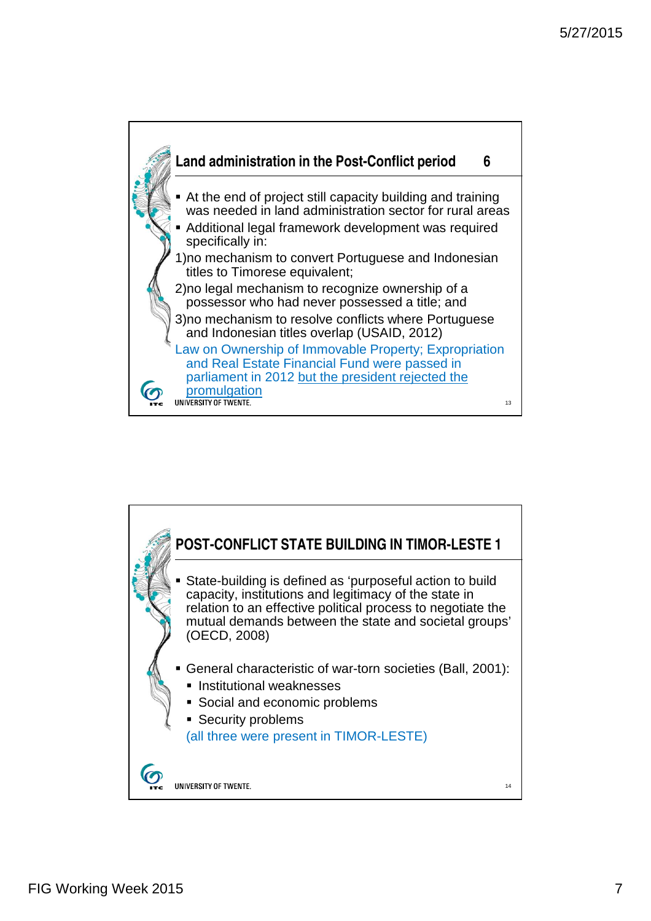

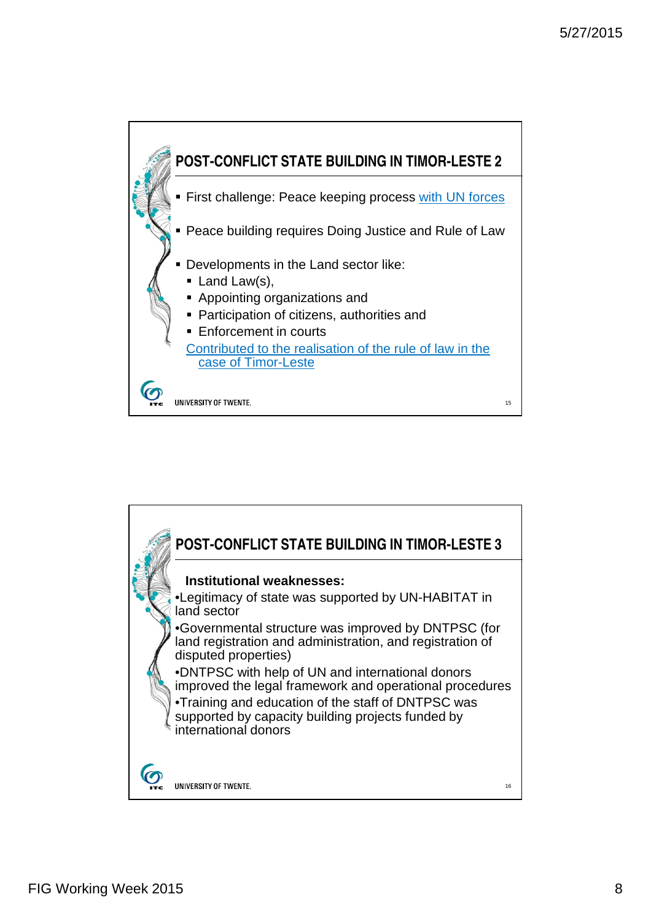

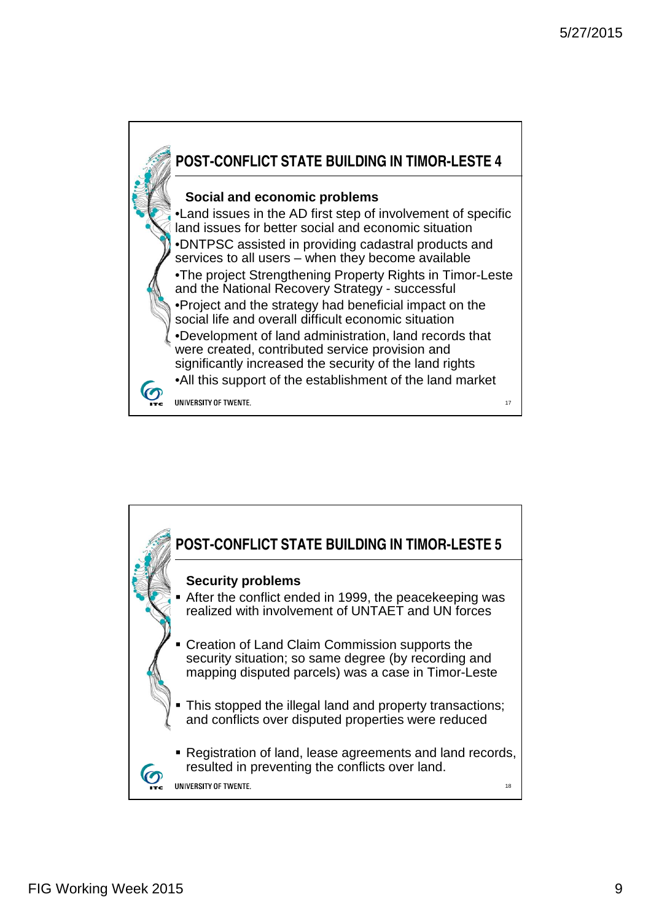

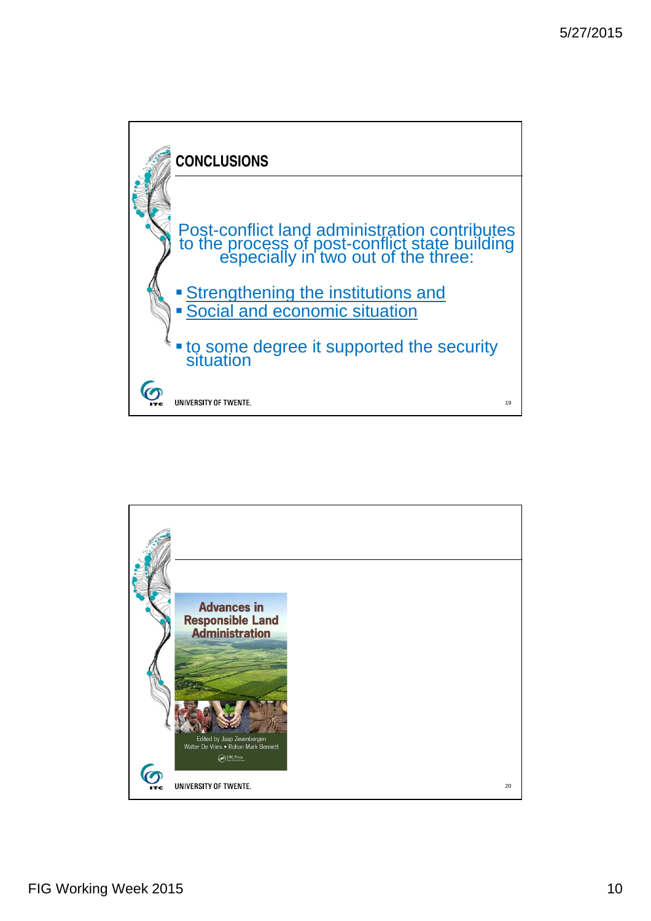